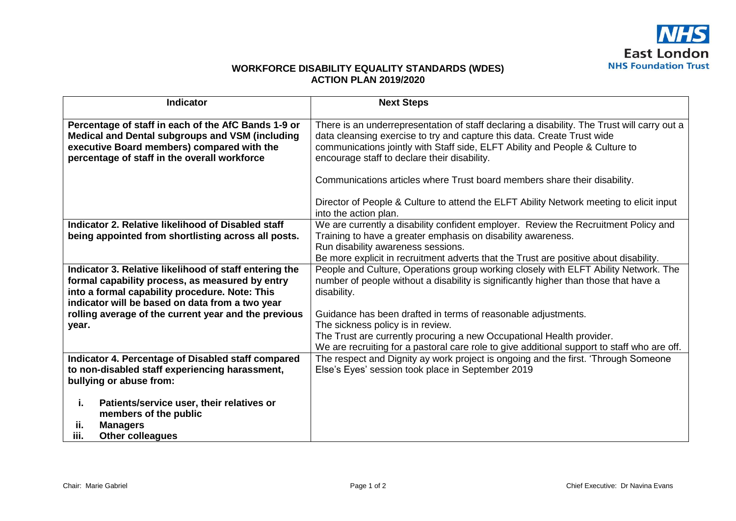## **WORKFORCE DISABILITY EQUALITY STANDARDS (WDES) ACTION PLAN 2019/2020**

| <b>Indicator</b>                                                                                                                                                                                               | <b>Next Steps</b>                                                                                                                                                                                                                                                                                      |
|----------------------------------------------------------------------------------------------------------------------------------------------------------------------------------------------------------------|--------------------------------------------------------------------------------------------------------------------------------------------------------------------------------------------------------------------------------------------------------------------------------------------------------|
| Percentage of staff in each of the AfC Bands 1-9 or<br>Medical and Dental subgroups and VSM (including<br>executive Board members) compared with the<br>percentage of staff in the overall workforce           | There is an underrepresentation of staff declaring a disability. The Trust will carry out a<br>data cleansing exercise to try and capture this data. Create Trust wide<br>communications jointly with Staff side, ELFT Ability and People & Culture to<br>encourage staff to declare their disability. |
|                                                                                                                                                                                                                | Communications articles where Trust board members share their disability.<br>Director of People & Culture to attend the ELFT Ability Network meeting to elicit input<br>into the action plan.                                                                                                          |
| Indicator 2. Relative likelihood of Disabled staff<br>being appointed from shortlisting across all posts.                                                                                                      | We are currently a disability confident employer. Review the Recruitment Policy and<br>Training to have a greater emphasis on disability awareness.<br>Run disability awareness sessions.<br>Be more explicit in recruitment adverts that the Trust are positive about disability.                     |
| Indicator 3. Relative likelihood of staff entering the<br>formal capability process, as measured by entry<br>into a formal capability procedure. Note: This<br>indicator will be based on data from a two year | People and Culture, Operations group working closely with ELFT Ability Network. The<br>number of people without a disability is significantly higher than those that have a<br>disability.                                                                                                             |
| rolling average of the current year and the previous<br>year.                                                                                                                                                  | Guidance has been drafted in terms of reasonable adjustments.<br>The sickness policy is in review.<br>The Trust are currently procuring a new Occupational Health provider.<br>We are recruiting for a pastoral care role to give additional support to staff who are off.                             |
| Indicator 4. Percentage of Disabled staff compared<br>to non-disabled staff experiencing harassment,<br>bullying or abuse from:                                                                                | The respect and Dignity ay work project is ongoing and the first. 'Through Someone<br>Else's Eyes' session took place in September 2019                                                                                                                                                                |
| Patients/service user, their relatives or<br>j.<br>members of the public<br>ii.<br><b>Managers</b><br>iii.<br><b>Other colleagues</b>                                                                          |                                                                                                                                                                                                                                                                                                        |